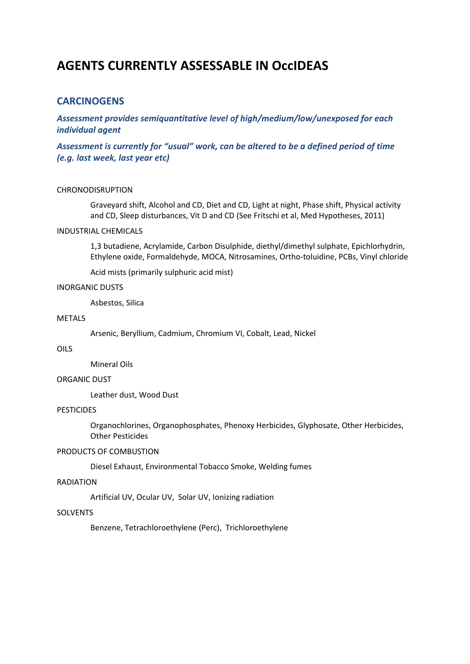# **AGENTS CURRENTLY ASSESSABLE IN OccIDEAS**

# **CARCINOGENS**

*Assessment provides semiquantitative level of high/medium/low/unexposed for each individual agent*

*Assessment is currently for "usual" work, can be altered to be a defined period of time (e.g. last week, last year etc)*

#### CHRONODISRUPTION

Graveyard shift, Alcohol and CD, Diet and CD, Light at night, Phase shift, Physical activity and CD, Sleep disturbances, Vit D and CD (See Fritschi et al, Med Hypotheses, 2011)

# INDUSTRIAL CHEMICALS

1,3 butadiene, Acrylamide, Carbon Disulphide, diethyl/dimethyl sulphate, Epichlorhydrin, Ethylene oxide, Formaldehyde, MOCA, Nitrosamines, Ortho-toluidine, PCBs, Vinyl chloride

Acid mists (primarily sulphuric acid mist)

#### INORGANIC DUSTS

Asbestos, Silica

#### METALS

Arsenic, Beryllium, Cadmium, Chromium VI, Cobalt, Lead, Nickel

# OILS

Mineral Oils

# ORGANIC DUST

Leather dust, Wood Dust

# PESTICIDES

Organochlorines, Organophosphates, Phenoxy Herbicides, Glyphosate, Other Herbicides, Other Pesticides

#### PRODUCTS OF COMBUSTION

Diesel Exhaust, Environmental Tobacco Smoke, Welding fumes

# RADIATION

Artificial UV, Ocular UV, Solar UV, Ionizing radiation

# **SOLVENTS**

Benzene, Tetrachloroethylene (Perc), Trichloroethylene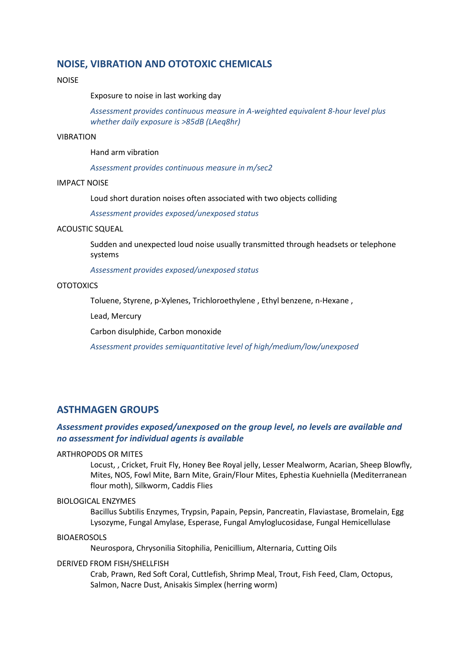# **NOISE, VIBRATION AND OTOTOXIC CHEMICALS**

# NOISE

Exposure to noise in last working day

*Assessment provides continuous measure in A-weighted equivalent 8-hour level plus whether daily exposure is >85dB (LAeq8hr)*

#### VIBRATION

Hand arm vibration

*Assessment provides continuous measure in m/sec2*

# IMPACT NOISE

Loud short duration noises often associated with two objects colliding

*Assessment provides exposed/unexposed status*

#### ACOUSTIC SQUEAL

Sudden and unexpected loud noise usually transmitted through headsets or telephone systems

*Assessment provides exposed/unexposed status*

## **OTOTOXICS**

Toluene, Styrene, p-Xylenes, Trichloroethylene , Ethyl benzene, n-Hexane ,

Lead, Mercury

Carbon disulphide, Carbon monoxide

*Assessment provides semiquantitative level of high/medium/low/unexposed*

# **ASTHMAGEN GROUPS**

# *Assessment provides exposed/unexposed on the group level, no levels are available and no assessment for individual agents is available*

#### ARTHROPODS OR MITES

Locust, , Cricket, Fruit Fly, Honey Bee Royal jelly, Lesser Mealworm, Acarian, Sheep Blowfly, Mites, NOS, Fowl Mite, Barn Mite, Grain/Flour Mites, Ephestia Kuehniella (Mediterranean flour moth), Silkworm, Caddis Flies

#### BIOLOGICAL ENZYMES

Bacillus Subtilis Enzymes, Trypsin, Papain, Pepsin, Pancreatin, Flaviastase, Bromelain, Egg Lysozyme, Fungal Amylase, Esperase, Fungal Amyloglucosidase, Fungal Hemicellulase

#### BIOAEROSOLS

Neurospora, Chrysonilia Sitophilia, Penicillium, Alternaria, Cutting Oils

#### DERIVED FROM FISH/SHELLFISH

Crab, Prawn, Red Soft Coral, Cuttlefish, Shrimp Meal, Trout, Fish Feed, Clam, Octopus, Salmon, Nacre Dust, Anisakis Simplex (herring worm)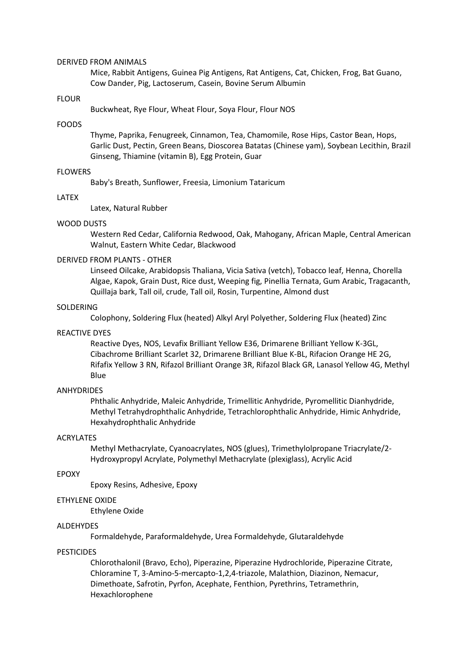#### DERIVED FROM ANIMALS

Mice, Rabbit Antigens, Guinea Pig Antigens, Rat Antigens, Cat, Chicken, Frog, Bat Guano, Cow Dander, Pig, Lactoserum, Casein, Bovine Serum Albumin

#### FLOUR

Buckwheat, Rye Flour, Wheat Flour, Soya Flour, Flour NOS

#### FOODS

Thyme, Paprika, Fenugreek, Cinnamon, Tea, Chamomile, Rose Hips, Castor Bean, Hops, Garlic Dust, Pectin, Green Beans, Dioscorea Batatas (Chinese yam), Soybean Lecithin, Brazil Ginseng, Thiamine (vitamin B), Egg Protein, Guar

#### FLOWERS

Baby's Breath, Sunflower, Freesia, Limonium Tataricum

#### LATEX

Latex, Natural Rubber

#### WOOD DUSTS

Western Red Cedar, California Redwood, Oak, Mahogany, African Maple, Central American Walnut, Eastern White Cedar, Blackwood

#### DERIVED FROM PLANTS - OTHER

Linseed Oilcake, Arabidopsis Thaliana, Vicia Sativa (vetch), Tobacco leaf, Henna, Chorella Algae, Kapok, Grain Dust, Rice dust, Weeping fig, Pinellia Ternata, Gum Arabic, Tragacanth, Quillaja bark, Tall oil, crude, Tall oil, Rosin, Turpentine, Almond dust

#### SOLDERING

Colophony, Soldering Flux (heated) Alkyl Aryl Polyether, Soldering Flux (heated) Zinc

#### REACTIVE DYES

Reactive Dyes, NOS, Levafix Brilliant Yellow E36, Drimarene Brilliant Yellow K-3GL, Cibachrome Brilliant Scarlet 32, Drimarene Brilliant Blue K-BL, Rifacion Orange HE 2G, Rifafix Yellow 3 RN, Rifazol Brilliant Orange 3R, Rifazol Black GR, Lanasol Yellow 4G, Methyl Blue

#### **ANHYDRIDES**

Phthalic Anhydride, Maleic Anhydride, Trimellitic Anhydride, Pyromellitic Dianhydride, Methyl Tetrahydrophthalic Anhydride, Tetrachlorophthalic Anhydride, Himic Anhydride, Hexahydrophthalic Anhydride

#### ACRYLATES

Methyl Methacrylate, Cyanoacrylates, NOS (glues), Trimethylolpropane Triacrylate/2- Hydroxypropyl Acrylate, Polymethyl Methacrylate (plexiglass), Acrylic Acid

#### EPOXY

Epoxy Resins, Adhesive, Epoxy

# ETHYLENE OXIDE

Ethylene Oxide

#### ALDEHYDES

Formaldehyde, Paraformaldehyde, Urea Formaldehyde, Glutaraldehyde

#### PESTICIDES

Chlorothalonil (Bravo, Echo), Piperazine, Piperazine Hydrochloride, Piperazine Citrate, Chloramine T, 3-Amino-5-mercapto-1,2,4-triazole, Malathion, Diazinon, Nemacur, Dimethoate, Safrotin, Pyrfon, Acephate, Fenthion, Pyrethrins, Tetramethrin, Hexachlorophene